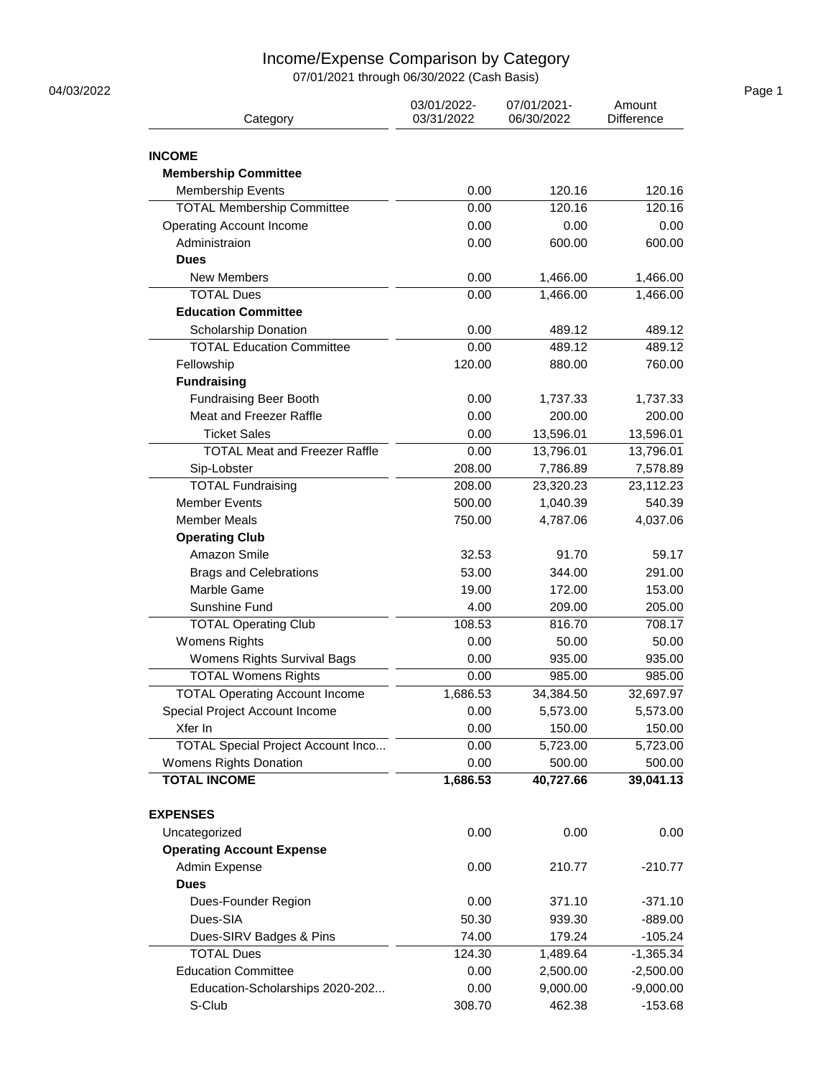## Income/Expense Comparison by Category

07/01/2021 through 06/30/2022 (Cash Basis)

| Category                                                 | 03/01/2022-<br>03/31/2022 | 07/01/2021-<br>06/30/2022 | Amount<br><b>Difference</b> |  |
|----------------------------------------------------------|---------------------------|---------------------------|-----------------------------|--|
| <b>INCOME</b>                                            |                           |                           |                             |  |
| <b>Membership Committee</b>                              |                           |                           |                             |  |
| <b>Membership Events</b>                                 | 0.00                      | 120.16                    | 120.16                      |  |
| <b>TOTAL Membership Committee</b>                        | 0.00                      | 120.16                    | 120.16                      |  |
| <b>Operating Account Income</b>                          | 0.00                      | 0.00                      | 0.00                        |  |
| Administraion                                            | 0.00                      | 600.00                    | 600.00                      |  |
| <b>Dues</b>                                              |                           |                           |                             |  |
| <b>New Members</b>                                       | 0.00                      | 1,466.00                  | 1,466.00                    |  |
| <b>TOTAL Dues</b>                                        | 0.00                      | 1,466.00                  | 1,466.00                    |  |
| <b>Education Committee</b>                               |                           |                           |                             |  |
| Scholarship Donation                                     | 0.00                      | 489.12                    | 489.12                      |  |
| <b>TOTAL Education Committee</b>                         | 0.00                      | 489.12                    | 489.12                      |  |
| Fellowship                                               | 120.00                    | 880.00                    | 760.00                      |  |
| <b>Fundraising</b>                                       |                           |                           |                             |  |
|                                                          | 0.00                      | 1,737.33                  |                             |  |
| <b>Fundraising Beer Booth</b><br>Meat and Freezer Raffle |                           |                           | 1,737.33                    |  |
| <b>Ticket Sales</b>                                      | 0.00                      | 200.00                    | 200.00                      |  |
| <b>TOTAL Meat and Freezer Raffle</b>                     | 0.00                      | 13,596.01                 | 13,596.01                   |  |
|                                                          | 0.00                      | 13,796.01                 | 13,796.01                   |  |
| Sip-Lobster                                              | 208.00                    | 7,786.89                  | 7,578.89                    |  |
| <b>TOTAL Fundraising</b>                                 | 208.00                    | 23,320.23                 | 23,112.23                   |  |
| <b>Member Events</b>                                     | 500.00                    | 1,040.39                  | 540.39                      |  |
| <b>Member Meals</b>                                      | 750.00                    | 4,787.06                  | 4,037.06                    |  |
| <b>Operating Club</b>                                    |                           |                           |                             |  |
| Amazon Smile                                             | 32.53                     | 91.70                     | 59.17                       |  |
| <b>Brags and Celebrations</b>                            | 53.00                     | 344.00                    | 291.00                      |  |
| Marble Game                                              | 19.00                     | 172.00                    | 153.00                      |  |
| Sunshine Fund                                            | 4.00                      | 209.00                    | 205.00                      |  |
| <b>TOTAL Operating Club</b>                              | 108.53                    | 816.70                    | 708.17                      |  |
| <b>Womens Rights</b>                                     | 0.00                      | 50.00                     | 50.00                       |  |
| Womens Rights Survival Bags                              | 0.00                      | 935.00                    | 935.00                      |  |
| <b>TOTAL Womens Rights</b>                               | 0.00                      | 985.00                    | 985.00                      |  |
| <b>TOTAL Operating Account Income</b>                    | 1,686.53                  | 34,384.50                 | 32,697.97                   |  |
| Special Project Account Income                           | 0.00                      | 5,573.00                  | 5,573.00                    |  |
| Xfer In                                                  | 0.00                      | 150.00                    | 150.00                      |  |
| <b>TOTAL Special Project Account Inco</b>                | 0.00                      | 5,723.00                  | 5,723.00                    |  |
| Womens Rights Donation                                   | 0.00                      | 500.00                    | 500.00                      |  |
| <b>TOTAL INCOME</b>                                      | 1,686.53                  | 40,727.66                 | 39,041.13                   |  |
| <b>EXPENSES</b>                                          |                           |                           |                             |  |
| Uncategorized                                            | 0.00                      | 0.00                      | 0.00                        |  |
| <b>Operating Account Expense</b>                         |                           |                           |                             |  |
| Admin Expense                                            | 0.00                      | 210.77                    | $-210.77$                   |  |
| <b>Dues</b>                                              |                           |                           |                             |  |
| Dues-Founder Region                                      | 0.00                      | 371.10                    | $-371.10$                   |  |
| Dues-SIA                                                 | 50.30                     | 939.30                    | $-889.00$                   |  |
| Dues-SIRV Badges & Pins                                  | 74.00                     | 179.24                    | $-105.24$                   |  |
| <b>TOTAL Dues</b>                                        | 124.30                    | 1,489.64                  | $-1,365.34$                 |  |
| <b>Education Committee</b>                               | 0.00                      | 2,500.00                  | $-2,500.00$                 |  |
| Education-Scholarships 2020-202                          | 0.00                      | 9,000.00                  | $-9,000.00$                 |  |
| S-Club                                                   | 308.70                    | 462.38                    | $-153.68$                   |  |
|                                                          |                           |                           |                             |  |